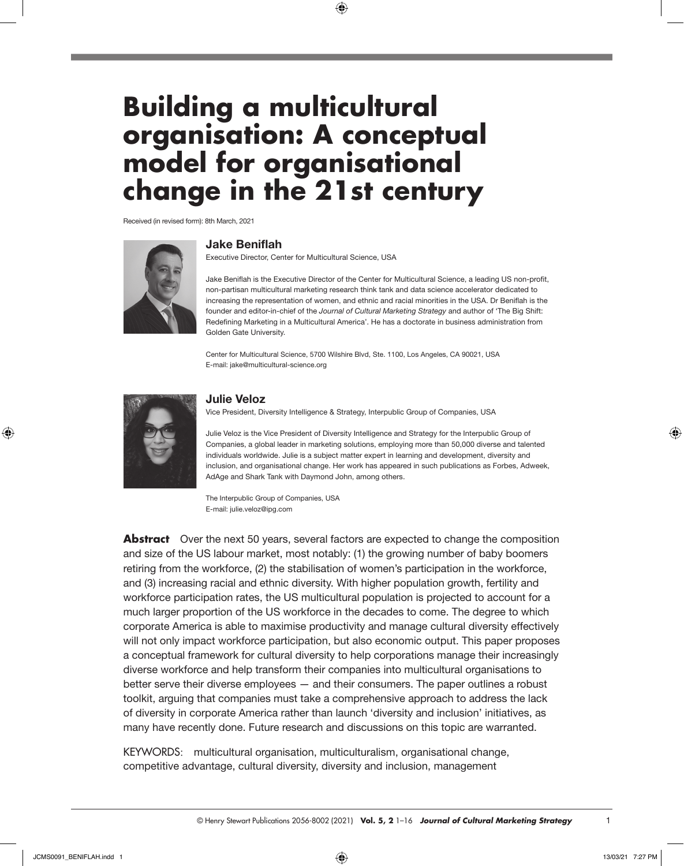# **Building a multicultural organisation: A conceptual model for organisational change in the 21st century**

 $\bigoplus$ 

Received (in revised form): 8th March, 2021



### **Jake Beniflah**

Executive Director, Center for Multicultural Science, USA

Jake Beniflah is the Executive Director of the Center for Multicultural Science, a leading US non-profit, non-partisan multicultural marketing research think tank and data science accelerator dedicated to increasing the representation of women, and ethnic and racial minorities in the USA. Dr Beniflah is the founder and editor-in-chief of the *Journal of Cultural Marketing Strategy* and author of 'The Big Shift: Redefining Marketing in a Multicultural America'. He has a doctorate in business administration from Golden Gate University.

Center for Multicultural Science, 5700 Wilshire Blvd, Ste. 1100, Los Angeles, CA 90021, USA E-mail: [jake@multicultural-science.org](mailto:jake@multicultural-science.org)



⊕

#### **Julie Veloz**

Vice President, Diversity Intelligence & Strategy, Interpublic Group of Companies, USA

Julie Veloz is the Vice President of Diversity Intelligence and Strategy for the Interpublic Group of Companies, a global leader in marketing solutions, employing more than 50,000 diverse and talented individuals worldwide. Julie is a subject matter expert in learning and development, diversity and inclusion, and organisational change. Her work has appeared in such publications as Forbes, Adweek, AdAge and Shark Tank with Daymond John, among others.

The Interpublic Group of Companies, USA E-mail: [julie.veloz@ipg.com](mailto:julie.Veloz@ipg.com)

**Abstract** Over the next 50 years, several factors are expected to change the composition and size of the US labour market, most notably: (1) the growing number of baby boomers retiring from the workforce, (2) the stabilisation of women's participation in the workforce, and (3) increasing racial and ethnic diversity. With higher population growth, fertility and workforce participation rates, the US multicultural population is projected to account for a much larger proportion of the US workforce in the decades to come. The degree to which corporate America is able to maximise productivity and manage cultural diversity effectively will not only impact workforce participation, but also economic output. This paper proposes a conceptual framework for cultural diversity to help corporations manage their increasingly diverse workforce and help transform their companies into multicultural organisations to better serve their diverse employees — and their consumers. The paper outlines a robust toolkit, arguing that companies must take a comprehensive approach to address the lack of diversity in corporate America rather than launch 'diversity and inclusion' initiatives, as many have recently done. Future research and discussions on this topic are warranted.

KEYWORDS: multicultural organisation, multiculturalism, organisational change, competitive advantage, cultural diversity, diversity and inclusion, management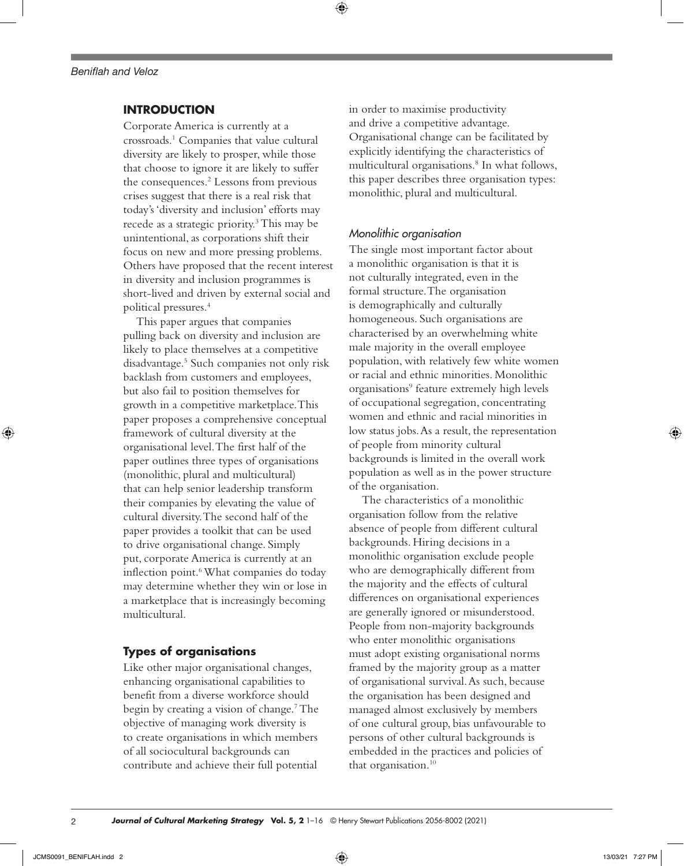# **INTRODUCTION**

Corporate America is currently at a crossroads.1 Companies that value cultural diversity are likely to prosper, while those that choose to ignore it are likely to suffer the consequences.<sup>2</sup> Lessons from previous crises suggest that there is a real risk that today's 'diversity and inclusion' efforts may recede as a strategic priority.3 This may be unintentional, as corporations shift their focus on new and more pressing problems. Others have proposed that the recent interest in diversity and inclusion programmes is short-lived and driven by external social and political pressures.4

This paper argues that companies pulling back on diversity and inclusion are likely to place themselves at a competitive disadvantage.5 Such companies not only risk backlash from customers and employees, but also fail to position themselves for growth in a competitive marketplace. This paper proposes a comprehensive conceptual framework of cultural diversity at the organisational level. The first half of the paper outlines three types of organisations (monolithic, plural and multicultural) that can help senior leadership transform their companies by elevating the value of cultural diversity. The second half of the paper provides a toolkit that can be used to drive organisational change. Simply put, corporate America is currently at an inflection point.<sup>6</sup> What companies do today may determine whether they win or lose in a marketplace that is increasingly becoming multicultural.

### **Types of organisations**

Like other major organisational changes, enhancing organisational capabilities to benefit from a diverse workforce should begin by creating a vision of change.7 The objective of managing work diversity is to create organisations in which members of all sociocultural backgrounds can contribute and achieve their full potential

in order to maximise productivity and drive a competitive advantage. Organisational change can be facilitated by explicitly identifying the characteristics of multicultural organisations.8 In what follows, this paper describes three organisation types: monolithic, plural and multicultural.

### *Monolithic organisation*

⊕

The single most important factor about a monolithic organisation is that it is not culturally integrated, even in the formal structure. The organisation is demographically and culturally homogeneous. Such organisations are characterised by an overwhelming white male majority in the overall employee population, with relatively few white women or racial and ethnic minorities. Monolithic organisations<sup>9</sup> feature extremely high levels of occupational segregation, concentrating women and ethnic and racial minorities in low status jobs. As a result, the representation of people from minority cultural backgrounds is limited in the overall work population as well as in the power structure of the organisation.

The characteristics of a monolithic organisation follow from the relative absence of people from different cultural backgrounds. Hiring decisions in a monolithic organisation exclude people who are demographically different from the majority and the effects of cultural differences on organisational experiences are generally ignored or misunderstood. People from non-majority backgrounds who enter monolithic organisations must adopt existing organisational norms framed by the majority group as a matter of organisational survival. As such, because the organisation has been designed and managed almost exclusively by members of one cultural group, bias unfavourable to persons of other cultural backgrounds is embedded in the practices and policies of that organisation.<sup>10</sup>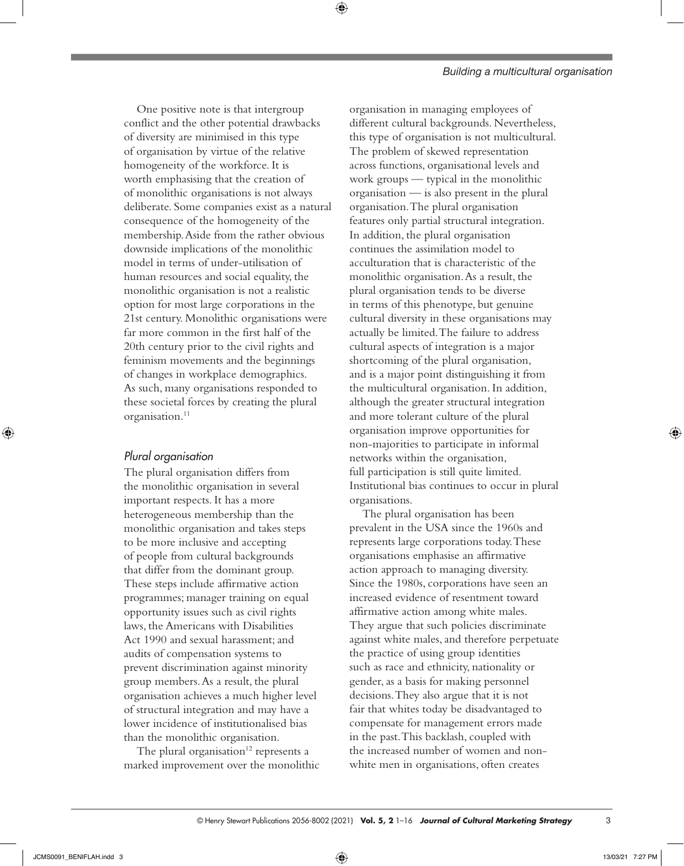#### *Building a multicultural organisation*

One positive note is that intergroup conflict and the other potential drawbacks of diversity are minimised in this type of organisation by virtue of the relative homogeneity of the workforce. It is worth emphasising that the creation of of monolithic organisations is not always deliberate. Some companies exist as a natural consequence of the homogeneity of the membership. Aside from the rather obvious downside implications of the monolithic model in terms of under-utilisation of human resources and social equality, the monolithic organisation is not a realistic option for most large corporations in the 21st century. Monolithic organisations were far more common in the first half of the 20th century prior to the civil rights and feminism movements and the beginnings of changes in workplace demographics. As such, many organisations responded to these societal forces by creating the plural organisation.<sup>11</sup>

## *Plural organisation*

The plural organisation differs from the monolithic organisation in several important respects. It has a more heterogeneous membership than the monolithic organisation and takes steps to be more inclusive and accepting of people from cultural backgrounds that differ from the dominant group. These steps include affirmative action programmes; manager training on equal opportunity issues such as civil rights laws, the Americans with Disabilities Act 1990 and sexual harassment; and audits of compensation systems to prevent discrimination against minority group members. As a result, the plural organisation achieves a much higher level of structural integration and may have a lower incidence of institutionalised bias than the monolithic organisation.

The plural organisation $12$  represents a marked improvement over the monolithic

organisation in managing employees of different cultural backgrounds. Nevertheless, this type of organisation is not multicultural. The problem of skewed representation across functions, organisational levels and work groups — typical in the monolithic organisation — is also present in the plural organisation. The plural organisation features only partial structural integration. In addition, the plural organisation continues the assimilation model to acculturation that is characteristic of the monolithic organisation. As a result, the plural organisation tends to be diverse in terms of this phenotype, but genuine cultural diversity in these organisations may actually be limited. The failure to address cultural aspects of integration is a major shortcoming of the plural organisation, and is a major point distinguishing it from the multicultural organisation. In addition, although the greater structural integration and more tolerant culture of the plural organisation improve opportunities for non-majorities to participate in informal networks within the organisation, full participation is still quite limited. Institutional bias continues to occur in plural organisations.

The plural organisation has been prevalent in the USA since the 1960s and represents large corporations today. These organisations emphasise an affirmative action approach to managing diversity. Since the 1980s, corporations have seen an increased evidence of resentment toward affirmative action among white males. They argue that such policies discriminate against white males, and therefore perpetuate the practice of using group identities such as race and ethnicity, nationality or gender, as a basis for making personnel decisions. They also argue that it is not fair that whites today be disadvantaged to compensate for management errors made in the past. This backlash, coupled with the increased number of women and nonwhite men in organisations, often creates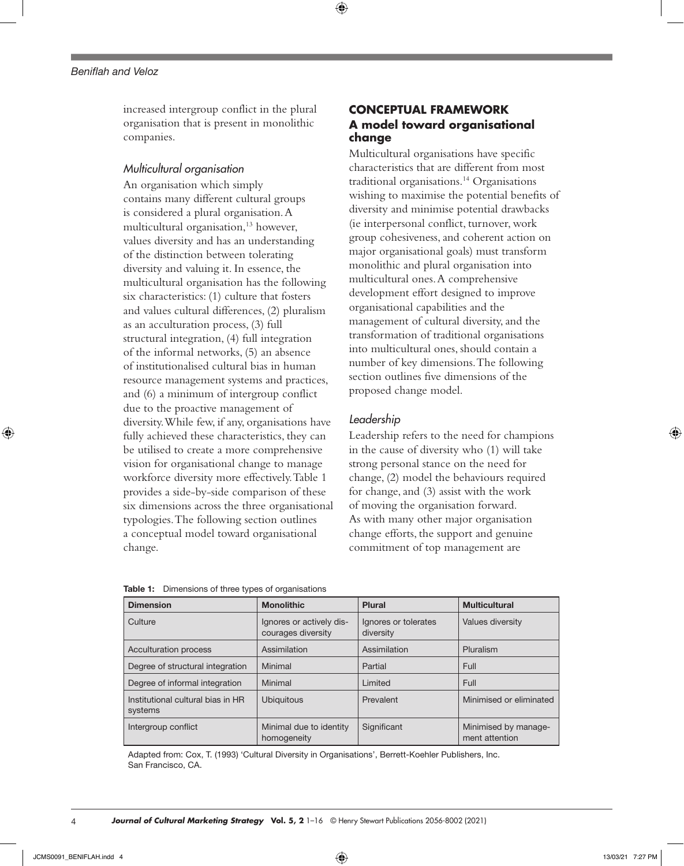increased intergroup conflict in the plural organisation that is present in monolithic companies.

## *Multicultural organisation*

An organisation which simply contains many different cultural groups is considered a plural organisation. A multicultural organisation,<sup>13</sup> however, values diversity and has an understanding of the distinction between tolerating diversity and valuing it. In essence, the multicultural organisation has the following six characteristics: (1) culture that fosters and values cultural differences, (2) pluralism as an acculturation process, (3) full structural integration, (4) full integration of the informal networks, (5) an absence of institutionalised cultural bias in human resource management systems and practices, and (6) a minimum of intergroup conflict due to the proactive management of diversity. While few, if any, organisations have fully achieved these characteristics, they can be utilised to create a more comprehensive vision for organisational change to manage workforce diversity more effectively. Table 1 provides a side-by-side comparison of these six dimensions across the three organisational typologies. The following section outlines a conceptual model toward organisational change.

# **CONCEPTUAL FRAMEWORK A model toward organisational change**

Multicultural organisations have specific characteristics that are different from most traditional organisations.14 Organisations wishing to maximise the potential benefits of diversity and minimise potential drawbacks (ie interpersonal conflict, turnover, work group cohesiveness, and coherent action on major organisational goals) must transform monolithic and plural organisation into multicultural ones. A comprehensive development effort designed to improve organisational capabilities and the management of cultural diversity, and the transformation of traditional organisations into multicultural ones, should contain a number of key dimensions. The following section outlines five dimensions of the proposed change model.

### *Leadership*

⊕

Leadership refers to the need for champions in the cause of diversity who (1) will take strong personal stance on the need for change, (2) model the behaviours required for change, and (3) assist with the work of moving the organisation forward. As with many other major organisation change efforts, the support and genuine commitment of top management are

| <b>Dimension</b>                                                  | <b>Monolithic</b>                              | Plural                            | <b>Multicultural</b>                   |  |
|-------------------------------------------------------------------|------------------------------------------------|-----------------------------------|----------------------------------------|--|
| Culture                                                           | Ignores or actively dis-<br>courages diversity | Ignores or tolerates<br>diversity | Values diversity                       |  |
| <b>Acculturation process</b>                                      | Assimilation                                   | Assimilation                      | Pluralism                              |  |
| Degree of structural integration                                  | Minimal                                        | Partial                           | Full                                   |  |
| Degree of informal integration                                    | Minimal                                        | Limited                           | Full                                   |  |
| Institutional cultural bias in HR<br><b>Ubiquitous</b><br>systems |                                                | Prevalent                         | Minimised or eliminated                |  |
| Intergroup conflict                                               | Minimal due to identity<br>homogeneity         | Significant                       | Minimised by manage-<br>ment attention |  |

| <b>Table 1:</b> Dimensions of three types of organisations |  |  |
|------------------------------------------------------------|--|--|
|------------------------------------------------------------|--|--|

Adapted from: Cox, T. (1993) 'Cultural Diversity in Organisations', Berrett-Koehler Publishers, Inc. San Francisco, CA.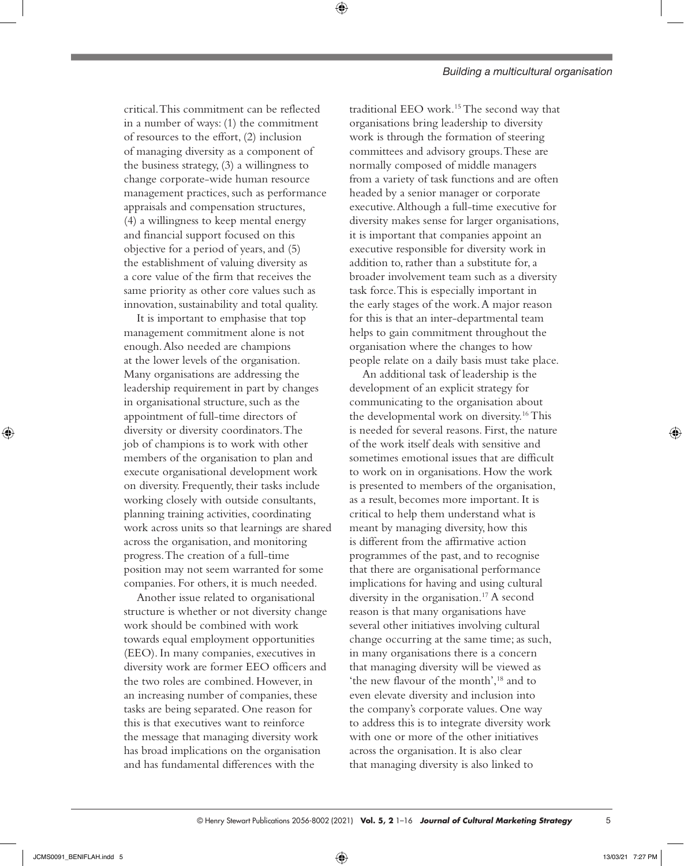critical. This commitment can be reflected in a number of ways: (1) the commitment of resources to the effort, (2) inclusion of managing diversity as a component of the business strategy, (3) a willingness to change corporate-wide human resource management practices, such as performance appraisals and compensation structures, (4) a willingness to keep mental energy and financial support focused on this objective for a period of years, and (5) the establishment of valuing diversity as a core value of the firm that receives the same priority as other core values such as innovation, sustainability and total quality.

It is important to emphasise that top management commitment alone is not enough. Also needed are champions at the lower levels of the organisation. Many organisations are addressing the leadership requirement in part by changes in organisational structure, such as the appointment of full-time directors of diversity or diversity coordinators. The job of champions is to work with other members of the organisation to plan and execute organisational development work on diversity. Frequently, their tasks include working closely with outside consultants, planning training activities, coordinating work across units so that learnings are shared across the organisation, and monitoring progress. The creation of a full-time position may not seem warranted for some companies. For others, it is much needed.

Another issue related to organisational structure is whether or not diversity change work should be combined with work towards equal employment opportunities (EEO). In many companies, executives in diversity work are former EEO officers and the two roles are combined. However, in an increasing number of companies, these tasks are being separated. One reason for this is that executives want to reinforce the message that managing diversity work has broad implications on the organisation and has fundamental differences with the

traditional EEO work.15 The second way that organisations bring leadership to diversity work is through the formation of steering committees and advisory groups. These are normally composed of middle managers from a variety of task functions and are often headed by a senior manager or corporate executive. Although a full-time executive for diversity makes sense for larger organisations, it is important that companies appoint an executive responsible for diversity work in addition to, rather than a substitute for, a broader involvement team such as a diversity task force. This is especially important in the early stages of the work. A major reason for this is that an inter-departmental team helps to gain commitment throughout the organisation where the changes to how people relate on a daily basis must take place.

An additional task of leadership is the development of an explicit strategy for communicating to the organisation about the developmental work on diversity.16 This is needed for several reasons. First, the nature of the work itself deals with sensitive and sometimes emotional issues that are difficult to work on in organisations. How the work is presented to members of the organisation, as a result, becomes more important. It is critical to help them understand what is meant by managing diversity, how this is different from the affirmative action programmes of the past, and to recognise that there are organisational performance implications for having and using cultural diversity in the organisation.<sup>17</sup> A second reason is that many organisations have several other initiatives involving cultural change occurring at the same time; as such, in many organisations there is a concern that managing diversity will be viewed as 'the new flavour of the month',18 and to even elevate diversity and inclusion into the company's corporate values. One way to address this is to integrate diversity work with one or more of the other initiatives across the organisation. It is also clear that managing diversity is also linked to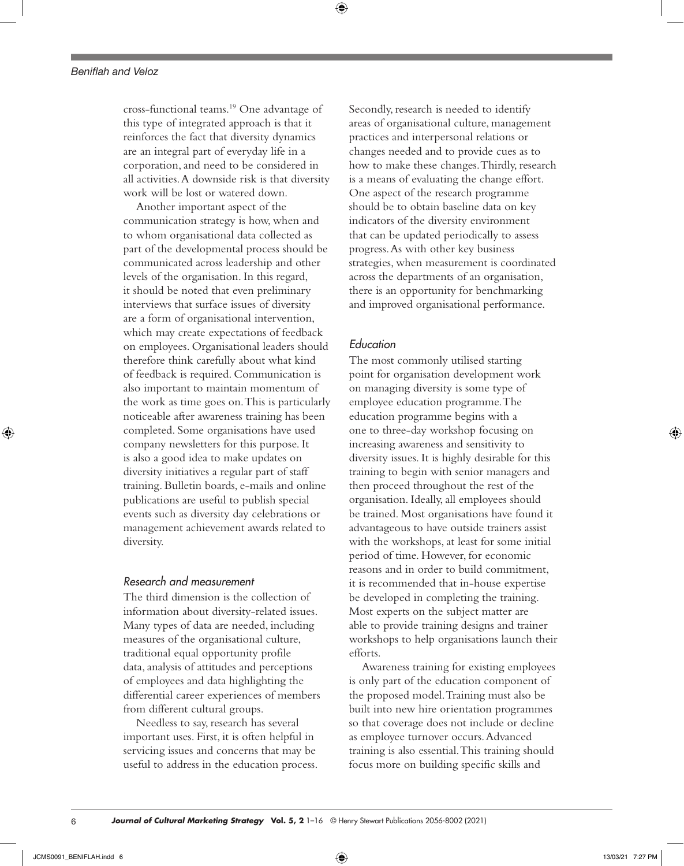cross-functional teams.19 One advantage of this type of integrated approach is that it reinforces the fact that diversity dynamics are an integral part of everyday life in a corporation, and need to be considered in all activities. A downside risk is that diversity work will be lost or watered down.

Another important aspect of the communication strategy is how, when and to whom organisational data collected as part of the developmental process should be communicated across leadership and other levels of the organisation. In this regard, it should be noted that even preliminary interviews that surface issues of diversity are a form of organisational intervention, which may create expectations of feedback on employees. Organisational leaders should therefore think carefully about what kind of feedback is required. Communication is also important to maintain momentum of the work as time goes on. This is particularly noticeable after awareness training has been completed. Some organisations have used company newsletters for this purpose. It is also a good idea to make updates on diversity initiatives a regular part of staff training. Bulletin boards, e-mails and online publications are useful to publish special events such as diversity day celebrations or management achievement awards related to diversity.

# *Research and measurement*

The third dimension is the collection of information about diversity-related issues. Many types of data are needed, including measures of the organisational culture, traditional equal opportunity profile data, analysis of attitudes and perceptions of employees and data highlighting the differential career experiences of members from different cultural groups.

Needless to say, research has several important uses. First, it is often helpful in servicing issues and concerns that may be useful to address in the education process. Secondly, research is needed to identify areas of organisational culture, management practices and interpersonal relations or changes needed and to provide cues as to how to make these changes. Thirdly, research is a means of evaluating the change effort. One aspect of the research programme should be to obtain baseline data on key indicators of the diversity environment that can be updated periodically to assess progress. As with other key business strategies, when measurement is coordinated across the departments of an organisation, there is an opportunity for benchmarking and improved organisational performance.

# *Education*

The most commonly utilised starting point for organisation development work on managing diversity is some type of employee education programme. The education programme begins with a one to three-day workshop focusing on increasing awareness and sensitivity to diversity issues. It is highly desirable for this training to begin with senior managers and then proceed throughout the rest of the organisation. Ideally, all employees should be trained. Most organisations have found it advantageous to have outside trainers assist with the workshops, at least for some initial period of time. However, for economic reasons and in order to build commitment, it is recommended that in-house expertise be developed in completing the training. Most experts on the subject matter are able to provide training designs and trainer workshops to help organisations launch their efforts.

Awareness training for existing employees is only part of the education component of the proposed model. Training must also be built into new hire orientation programmes so that coverage does not include or decline as employee turnover occurs. Advanced training is also essential. This training should focus more on building specific skills and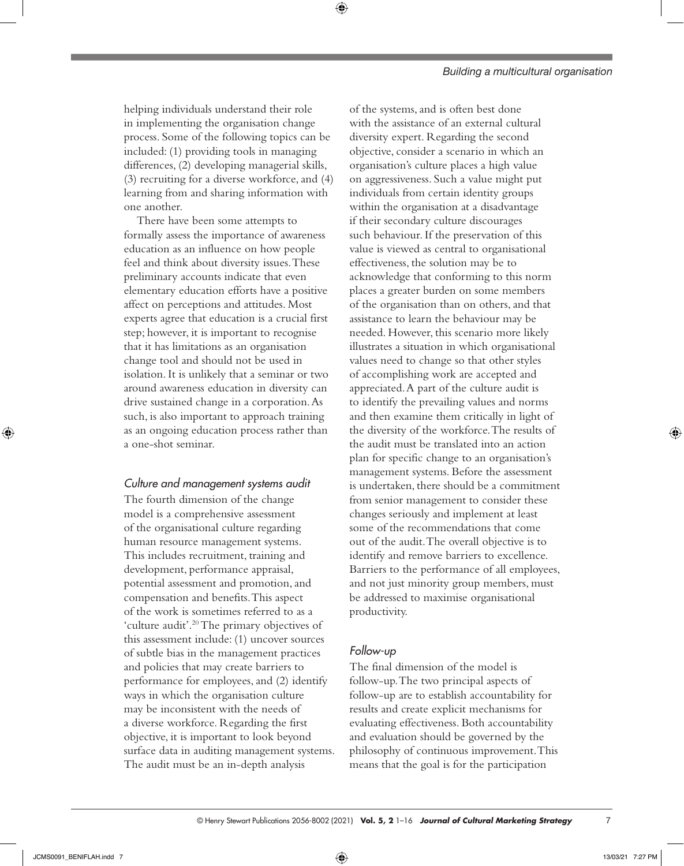helping individuals understand their role in implementing the organisation change process. Some of the following topics can be included: (1) providing tools in managing differences, (2) developing managerial skills, (3) recruiting for a diverse workforce, and (4) learning from and sharing information with one another.

⊕

There have been some attempts to formally assess the importance of awareness education as an influence on how people feel and think about diversity issues. These preliminary accounts indicate that even elementary education efforts have a positive affect on perceptions and attitudes. Most experts agree that education is a crucial first step; however, it is important to recognise that it has limitations as an organisation change tool and should not be used in isolation. It is unlikely that a seminar or two around awareness education in diversity can drive sustained change in a corporation. As such, is also important to approach training as an ongoing education process rather than a one-shot seminar.

# *Culture and management systems audit*

The fourth dimension of the change model is a comprehensive assessment of the organisational culture regarding human resource management systems. This includes recruitment, training and development, performance appraisal, potential assessment and promotion, and compensation and benefits. This aspect of the work is sometimes referred to as a 'culture audit'.20 The primary objectives of this assessment include: (1) uncover sources of subtle bias in the management practices and policies that may create barriers to performance for employees, and (2) identify ways in which the organisation culture may be inconsistent with the needs of a diverse workforce. Regarding the first objective, it is important to look beyond surface data in auditing management systems. The audit must be an in-depth analysis

of the systems, and is often best done with the assistance of an external cultural diversity expert. Regarding the second objective, consider a scenario in which an organisation's culture places a high value on aggressiveness. Such a value might put individuals from certain identity groups within the organisation at a disadvantage if their secondary culture discourages such behaviour. If the preservation of this value is viewed as central to organisational effectiveness, the solution may be to acknowledge that conforming to this norm places a greater burden on some members of the organisation than on others, and that assistance to learn the behaviour may be needed. However, this scenario more likely illustrates a situation in which organisational values need to change so that other styles of accomplishing work are accepted and appreciated. A part of the culture audit is to identify the prevailing values and norms and then examine them critically in light of the diversity of the workforce. The results of the audit must be translated into an action plan for specific change to an organisation's management systems. Before the assessment is undertaken, there should be a commitment from senior management to consider these changes seriously and implement at least some of the recommendations that come out of the audit. The overall objective is to identify and remove barriers to excellence. Barriers to the performance of all employees, and not just minority group members, must be addressed to maximise organisational productivity.

### *Follow-up*

The final dimension of the model is follow-up. The two principal aspects of follow-up are to establish accountability for results and create explicit mechanisms for evaluating effectiveness. Both accountability and evaluation should be governed by the philosophy of continuous improvement. This means that the goal is for the participation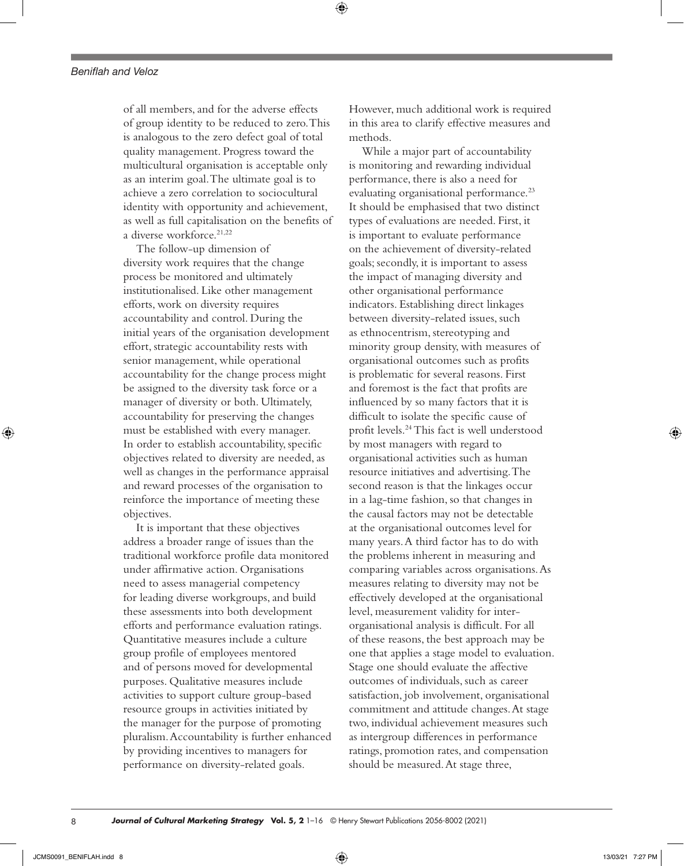of all members, and for the adverse effects of group identity to be reduced to zero. This is analogous to the zero defect goal of total quality management. Progress toward the multicultural organisation is acceptable only as an interim goal. The ultimate goal is to achieve a zero correlation to sociocultural identity with opportunity and achievement, as well as full capitalisation on the benefits of a diverse workforce.<sup>21,22</sup>

The follow-up dimension of diversity work requires that the change process be monitored and ultimately institutionalised. Like other management efforts, work on diversity requires accountability and control. During the initial years of the organisation development effort, strategic accountability rests with senior management, while operational accountability for the change process might be assigned to the diversity task force or a manager of diversity or both. Ultimately, accountability for preserving the changes must be established with every manager. In order to establish accountability, specific objectives related to diversity are needed, as well as changes in the performance appraisal and reward processes of the organisation to reinforce the importance of meeting these objectives.

It is important that these objectives address a broader range of issues than the traditional workforce profile data monitored under affirmative action. Organisations need to assess managerial competency for leading diverse workgroups, and build these assessments into both development efforts and performance evaluation ratings. Quantitative measures include a culture group profile of employees mentored and of persons moved for developmental purposes. Qualitative measures include activities to support culture group-based resource groups in activities initiated by the manager for the purpose of promoting pluralism. Accountability is further enhanced by providing incentives to managers for performance on diversity-related goals.

However, much additional work is required in this area to clarify effective measures and methods.

While a major part of accountability is monitoring and rewarding individual performance, there is also a need for evaluating organisational performance.<sup>23</sup> It should be emphasised that two distinct types of evaluations are needed. First, it is important to evaluate performance on the achievement of diversity-related goals; secondly, it is important to assess the impact of managing diversity and other organisational performance indicators. Establishing direct linkages between diversity-related issues, such as ethnocentrism, stereotyping and minority group density, with measures of organisational outcomes such as profits is problematic for several reasons. First and foremost is the fact that profits are influenced by so many factors that it is difficult to isolate the specific cause of profit levels.24 This fact is well understood by most managers with regard to organisational activities such as human resource initiatives and advertising. The second reason is that the linkages occur in a lag-time fashion, so that changes in the causal factors may not be detectable at the organisational outcomes level for many years. A third factor has to do with the problems inherent in measuring and comparing variables across organisations. As measures relating to diversity may not be effectively developed at the organisational level, measurement validity for interorganisational analysis is difficult. For all of these reasons, the best approach may be one that applies a stage model to evaluation. Stage one should evaluate the affective outcomes of individuals, such as career satisfaction, job involvement, organisational commitment and attitude changes. At stage two, individual achievement measures such as intergroup differences in performance ratings, promotion rates, and compensation should be measured. At stage three,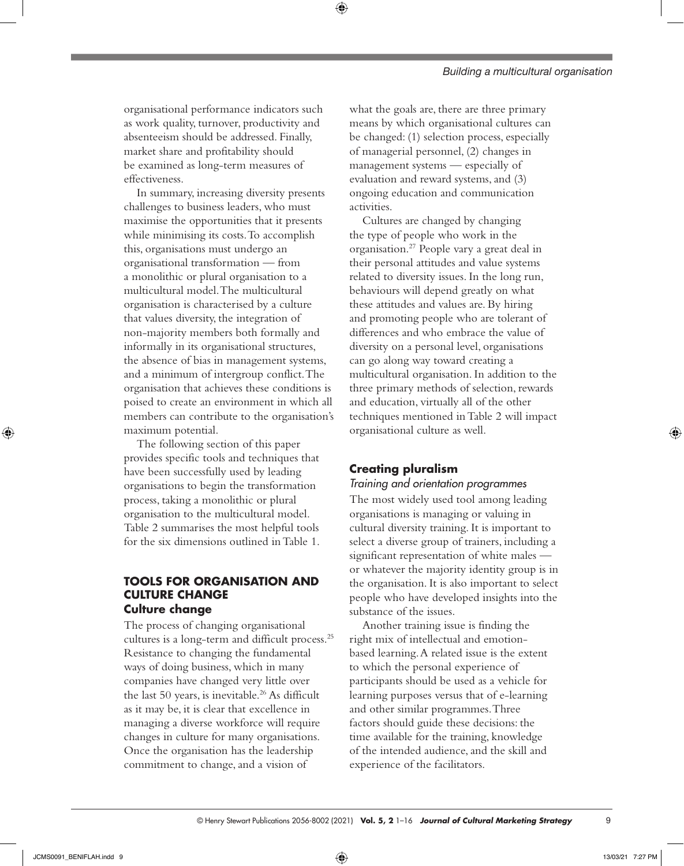organisational performance indicators such as work quality, turnover, productivity and absenteeism should be addressed. Finally, market share and profitability should be examined as long-term measures of effectiveness.

In summary, increasing diversity presents challenges to business leaders, who must maximise the opportunities that it presents while minimising its costs. To accomplish this, organisations must undergo an organisational transformation — from a monolithic or plural organisation to a multicultural model. The multicultural organisation is characterised by a culture that values diversity, the integration of non-majority members both formally and informally in its organisational structures, the absence of bias in management systems, and a minimum of intergroup conflict. The organisation that achieves these conditions is poised to create an environment in which all members can contribute to the organisation's maximum potential.

The following section of this paper provides specific tools and techniques that have been successfully used by leading organisations to begin the transformation process, taking a monolithic or plural organisation to the multicultural model. Table 2 summarises the most helpful tools for the six dimensions outlined in Table 1.

# **TOOLS FOR ORGANISATION AND CULTURE CHANGE Culture change**

The process of changing organisational cultures is a long-term and difficult process.25 Resistance to changing the fundamental ways of doing business, which in many companies have changed very little over the last 50 years, is inevitable.<sup>26</sup> As difficult as it may be, it is clear that excellence in managing a diverse workforce will require changes in culture for many organisations. Once the organisation has the leadership commitment to change, and a vision of

what the goals are, there are three primary means by which organisational cultures can be changed: (1) selection process, especially of managerial personnel, (2) changes in management systems — especially of evaluation and reward systems, and (3) ongoing education and communication activities.

⊕

Cultures are changed by changing the type of people who work in the organisation.27 People vary a great deal in their personal attitudes and value systems related to diversity issues. In the long run, behaviours will depend greatly on what these attitudes and values are. By hiring and promoting people who are tolerant of differences and who embrace the value of diversity on a personal level, organisations can go along way toward creating a multicultural organisation. In addition to the three primary methods of selection, rewards and education, virtually all of the other techniques mentioned in Table 2 will impact organisational culture as well.

# **Creating pluralism**

*Training and orientation programmes*

The most widely used tool among leading organisations is managing or valuing in cultural diversity training. It is important to select a diverse group of trainers, including a significant representation of white males or whatever the majority identity group is in the organisation. It is also important to select people who have developed insights into the substance of the issues.

Another training issue is finding the right mix of intellectual and emotionbased learning. A related issue is the extent to which the personal experience of participants should be used as a vehicle for learning purposes versus that of e-learning and other similar programmes. Three factors should guide these decisions: the time available for the training, knowledge of the intended audience, and the skill and experience of the facilitators.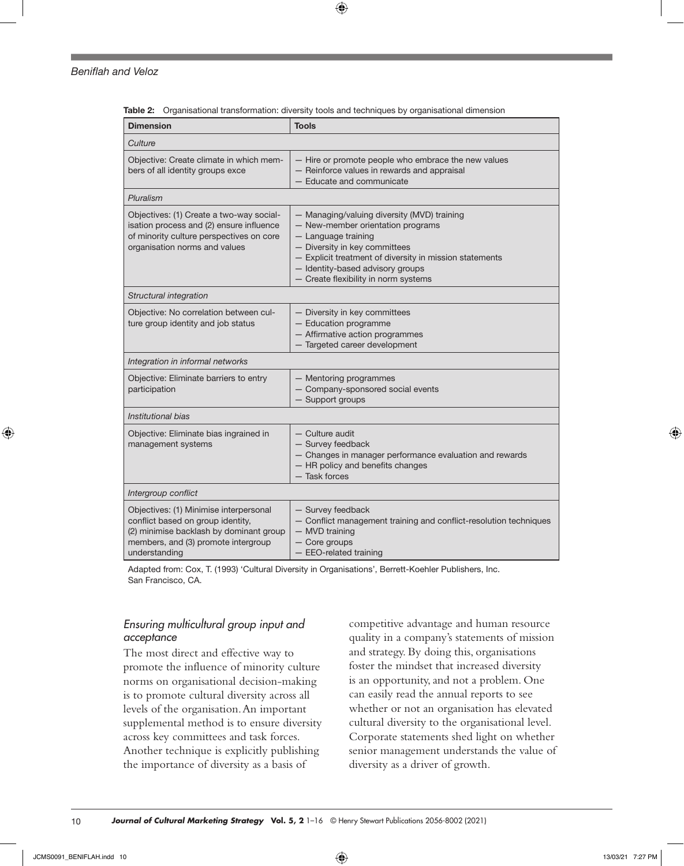$\bigoplus$ 

#### *Beniflah and Veloz*

|  |  |  |  |  |  | Table 2: Organisational transformation: diversity tools and techniques by organisational dimension |  |
|--|--|--|--|--|--|----------------------------------------------------------------------------------------------------|--|
|--|--|--|--|--|--|----------------------------------------------------------------------------------------------------|--|

| <b>Dimension</b>                                                                                                                                                               | <b>Tools</b>                                                                                                                                                                                                                                                                    |  |  |  |  |
|--------------------------------------------------------------------------------------------------------------------------------------------------------------------------------|---------------------------------------------------------------------------------------------------------------------------------------------------------------------------------------------------------------------------------------------------------------------------------|--|--|--|--|
| Culture                                                                                                                                                                        |                                                                                                                                                                                                                                                                                 |  |  |  |  |
| Objective: Create climate in which mem-<br>bers of all identity groups exce                                                                                                    | - Hire or promote people who embrace the new values<br>- Reinforce values in rewards and appraisal<br>- Educate and communicate                                                                                                                                                 |  |  |  |  |
| Pluralism                                                                                                                                                                      |                                                                                                                                                                                                                                                                                 |  |  |  |  |
| Objectives: (1) Create a two-way social-<br>isation process and (2) ensure influence<br>of minority culture perspectives on core<br>organisation norms and values              | - Managing/valuing diversity (MVD) training<br>- New-member orientation programs<br>- Language training<br>- Diversity in key committees<br>- Explicit treatment of diversity in mission statements<br>- Identity-based advisory groups<br>- Create flexibility in norm systems |  |  |  |  |
| Structural integration                                                                                                                                                         |                                                                                                                                                                                                                                                                                 |  |  |  |  |
| Objective: No correlation between cul-<br>ture group identity and job status                                                                                                   | - Diversity in key committees<br>- Education programme<br>- Affirmative action programmes<br>- Targeted career development                                                                                                                                                      |  |  |  |  |
| Integration in informal networks                                                                                                                                               |                                                                                                                                                                                                                                                                                 |  |  |  |  |
| Objective: Eliminate barriers to entry<br>participation                                                                                                                        | - Mentoring programmes<br>- Company-sponsored social events<br>- Support groups                                                                                                                                                                                                 |  |  |  |  |
| Institutional bias                                                                                                                                                             |                                                                                                                                                                                                                                                                                 |  |  |  |  |
| Objective: Eliminate bias ingrained in<br>management systems                                                                                                                   | - Culture audit<br>- Survey feedback<br>- Changes in manager performance evaluation and rewards<br>- HR policy and benefits changes<br>- Task forces                                                                                                                            |  |  |  |  |
| Intergroup conflict                                                                                                                                                            |                                                                                                                                                                                                                                                                                 |  |  |  |  |
| Objectives: (1) Minimise interpersonal<br>conflict based on group identity,<br>(2) minimise backlash by dominant group<br>members, and (3) promote intergroup<br>understanding | - Survey feedback<br>- Conflict management training and conflict-resolution techniques<br>- MVD training<br>- Core groups<br>$-$ EEO-related training                                                                                                                           |  |  |  |  |

Adapted from: Cox, T. (1993) 'Cultural Diversity in Organisations', Berrett-Koehler Publishers, Inc. San Francisco, CA.

# *Ensuring multicultural group input and acceptance*

The most direct and effective way to promote the influence of minority culture norms on organisational decision-making is to promote cultural diversity across all levels of the organisation. An important supplemental method is to ensure diversity across key committees and task forces. Another technique is explicitly publishing the importance of diversity as a basis of

competitive advantage and human resource quality in a company's statements of mission and strategy. By doing this, organisations foster the mindset that increased diversity is an opportunity, and not a problem. One can easily read the annual reports to see whether or not an organisation has elevated cultural diversity to the organisational level. Corporate statements shed light on whether senior management understands the value of diversity as a driver of growth.

◈

10 *Journal of Cultural Marketing Strategy* **Vol. 5, 2** 1–16 © Henry Stewart Publications 2056-8002 (2021)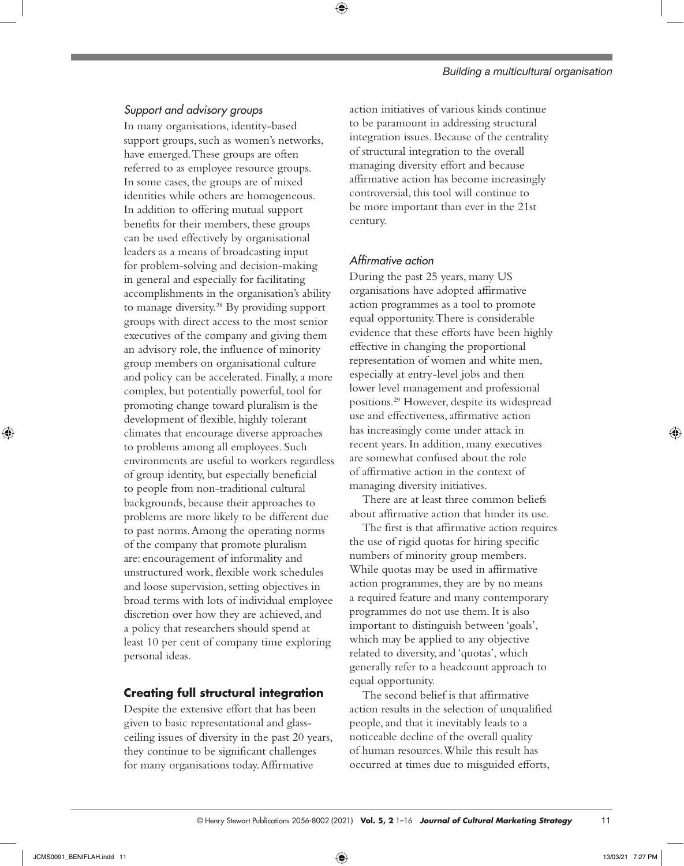# ⊕

# *Support and advisory groups*

In many organisations, identity-based support groups, such as women's networks, have emerged. These groups are often referred to as employee resource groups. In some cases, the groups are of mixed identities while others are homogeneous. In addition to offering mutual support benefits for their members, these groups can be used effectively by organisational leaders as a means of broadcasting input for problem-solving and decision-making in general and especially for facilitating accomplishments in the organisation's ability to manage diversity.28 By providing support groups with direct access to the most senior executives of the company and giving them an advisory role, the influence of minority group members on organisational culture and policy can be accelerated. Finally, a more complex, but potentially powerful, tool for promoting change toward pluralism is the development of flexible, highly tolerant climates that encourage diverse approaches to problems among all employees. Such environments are useful to workers regardless of group identity, but especially beneficial to people from non-traditional cultural backgrounds, because their approaches to problems are more likely to be different due to past norms. Among the operating norms of the company that promote pluralism are: encouragement of informality and unstructured work, flexible work schedules and loose supervision, setting objectives in broad terms with lots of individual employee discretion over how they are achieved, and a policy that researchers should spend at least 10 per cent of company time exploring personal ideas.

# **Creating full structural integration**

Despite the extensive effort that has been given to basic representational and glassceiling issues of diversity in the past 20 years, they continue to be significant challenges for many organisations today. Affirmative

action initiatives of various kinds continue to be paramount in addressing structural integration issues. Because of the centrality of structural integration to the overall managing diversity effort and because affirmative action has become increasingly controversial, this tool will continue to be more important than ever in the 21st century.

# *Affirmative action*

During the past 25 years, many US organisations have adopted affirmative action programmes as a tool to promote equal opportunity. There is considerable evidence that these efforts have been highly effective in changing the proportional representation of women and white men, especially at entry-level jobs and then lower level management and professional positions.29 However, despite its widespread use and effectiveness, affirmative action has increasingly come under attack in recent years. In addition, many executives are somewhat confused about the role of affirmative action in the context of managing diversity initiatives.

There are at least three common beliefs about affirmative action that hinder its use.

The first is that affirmative action requires the use of rigid quotas for hiring specific numbers of minority group members. While quotas may be used in affirmative action programmes, they are by no means a required feature and many contemporary programmes do not use them. It is also important to distinguish between 'goals', which may be applied to any objective related to diversity, and 'quotas', which generally refer to a headcount approach to equal opportunity.

The second belief is that affirmative action results in the selection of unqualified people, and that it inevitably leads to a noticeable decline of the overall quality of human resources. While this result has occurred at times due to misguided efforts,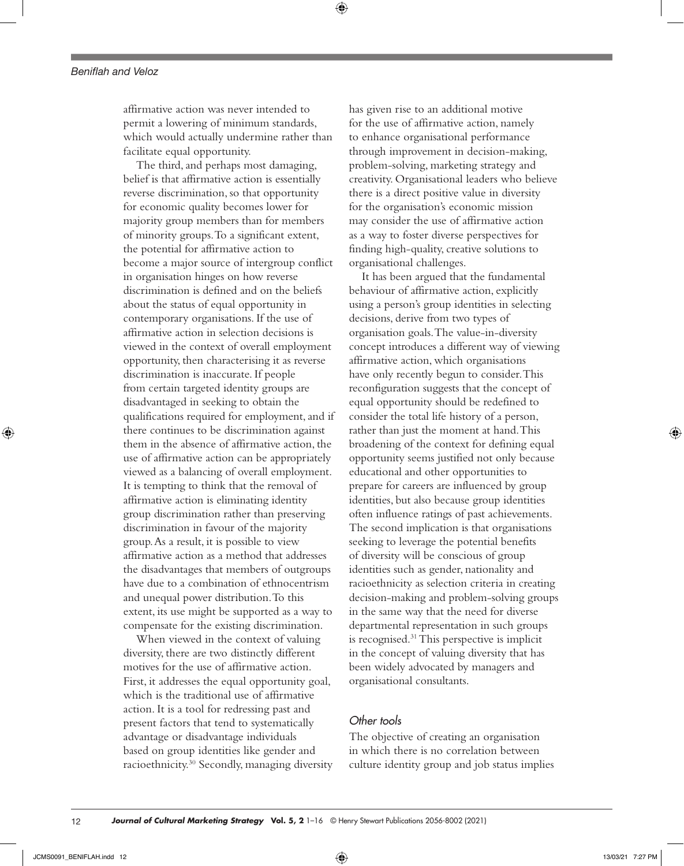affirmative action was never intended to permit a lowering of minimum standards, which would actually undermine rather than facilitate equal opportunity.

The third, and perhaps most damaging, belief is that affirmative action is essentially reverse discrimination, so that opportunity for economic quality becomes lower for majority group members than for members of minority groups. To a significant extent, the potential for affirmative action to become a major source of intergroup conflict in organisation hinges on how reverse discrimination is defined and on the beliefs about the status of equal opportunity in contemporary organisations. If the use of affirmative action in selection decisions is viewed in the context of overall employment opportunity, then characterising it as reverse discrimination is inaccurate. If people from certain targeted identity groups are disadvantaged in seeking to obtain the qualifications required for employment, and if there continues to be discrimination against them in the absence of affirmative action, the use of affirmative action can be appropriately viewed as a balancing of overall employment. It is tempting to think that the removal of affirmative action is eliminating identity group discrimination rather than preserving discrimination in favour of the majority group. As a result, it is possible to view affirmative action as a method that addresses the disadvantages that members of outgroups have due to a combination of ethnocentrism and unequal power distribution. To this extent, its use might be supported as a way to compensate for the existing discrimination.

When viewed in the context of valuing diversity, there are two distinctly different motives for the use of affirmative action. First, it addresses the equal opportunity goal, which is the traditional use of affirmative action. It is a tool for redressing past and present factors that tend to systematically advantage or disadvantage individuals based on group identities like gender and racioethnicity.<sup>30</sup> Secondly, managing diversity has given rise to an additional motive for the use of affirmative action, namely to enhance organisational performance through improvement in decision-making, problem-solving, marketing strategy and creativity. Organisational leaders who believe there is a direct positive value in diversity for the organisation's economic mission may consider the use of affirmative action as a way to foster diverse perspectives for finding high-quality, creative solutions to organisational challenges.

It has been argued that the fundamental behaviour of affirmative action, explicitly using a person's group identities in selecting decisions, derive from two types of organisation goals. The value-in-diversity concept introduces a different way of viewing affirmative action, which organisations have only recently begun to consider. This reconfiguration suggests that the concept of equal opportunity should be redefined to consider the total life history of a person, rather than just the moment at hand. This broadening of the context for defining equal opportunity seems justified not only because educational and other opportunities to prepare for careers are influenced by group identities, but also because group identities often influence ratings of past achievements. The second implication is that organisations seeking to leverage the potential benefits of diversity will be conscious of group identities such as gender, nationality and racioethnicity as selection criteria in creating decision-making and problem-solving groups in the same way that the need for diverse departmental representation in such groups is recognised.31 This perspective is implicit in the concept of valuing diversity that has been widely advocated by managers and organisational consultants.

# *Other tools*

The objective of creating an organisation in which there is no correlation between culture identity group and job status implies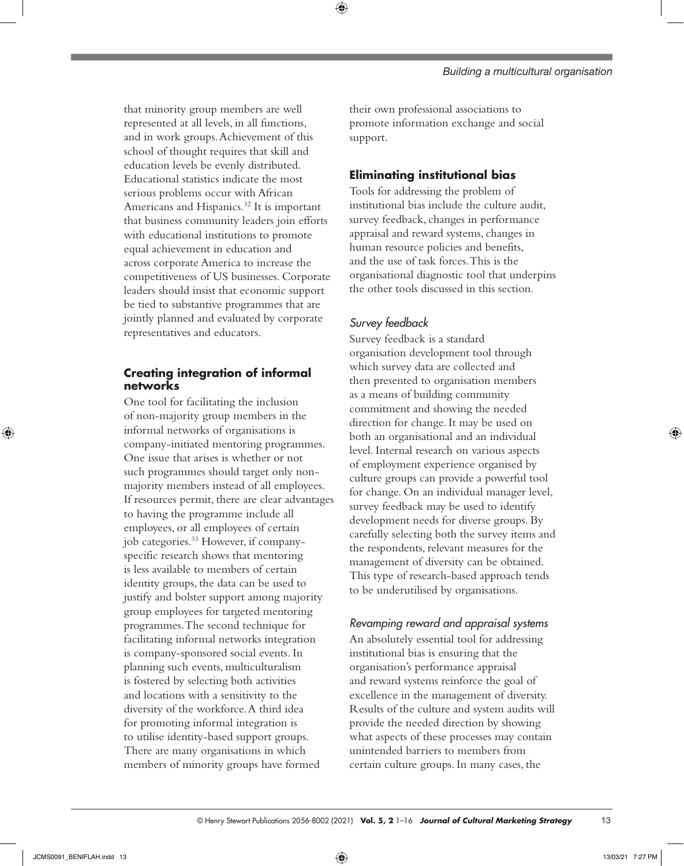*Building a multicultural organisation*

that minority group members are well represented at all levels, in all functions, and in work groups. Achievement of this school of thought requires that skill and education levels be evenly distributed. Educational statistics indicate the most serious problems occur with African Americans and Hispanics.<sup>32</sup> It is important that business community leaders join efforts with educational institutions to promote equal achievement in education and across corporate America to increase the competitiveness of US businesses. Corporate leaders should insist that economic support be tied to substantive programmes that are jointly planned and evaluated by corporate representatives and educators.

# **Creating integration of informal networks**

One tool for facilitating the inclusion of non-majority group members in the informal networks of organisations is company-initiated mentoring programmes. One issue that arises is whether or not such programmes should target only nonmajority members instead of all employees. If resources permit, there are clear advantages to having the programme include all employees, or all employees of certain job categories.33 However, if companyspecific research shows that mentoring is less available to members of certain identity groups, the data can be used to justify and bolster support among majority group employees for targeted mentoring programmes. The second technique for facilitating informal networks integration is company-sponsored social events. In planning such events, multiculturalism is fostered by selecting both activities and locations with a sensitivity to the diversity of the workforce. A third idea for promoting informal integration is to utilise identity-based support groups. There are many organisations in which members of minority groups have formed

their own professional associations to promote information exchange and social support.

# **Eliminating institutional bias**

Tools for addressing the problem of institutional bias include the culture audit, survey feedback, changes in performance appraisal and reward systems, changes in human resource policies and benefits, and the use of task forces. This is the organisational diagnostic tool that underpins the other tools discussed in this section.

# *Survey feedback*

⊕

Survey feedback is a standard organisation development tool through which survey data are collected and then presented to organisation members as a means of building community commitment and showing the needed direction for change. It may be used on both an organisational and an individual level. Internal research on various aspects of employment experience organised by culture groups can provide a powerful tool for change. On an individual manager level, survey feedback may be used to identify development needs for diverse groups. By carefully selecting both the survey items and the respondents, relevant measures for the management of diversity can be obtained. This type of research-based approach tends to be underutilised by organisations.

### *Revamping reward and appraisal systems*

An absolutely essential tool for addressing institutional bias is ensuring that the organisation's performance appraisal and reward systems reinforce the goal of excellence in the management of diversity. Results of the culture and system audits will provide the needed direction by showing what aspects of these processes may contain unintended barriers to members from certain culture groups. In many cases, the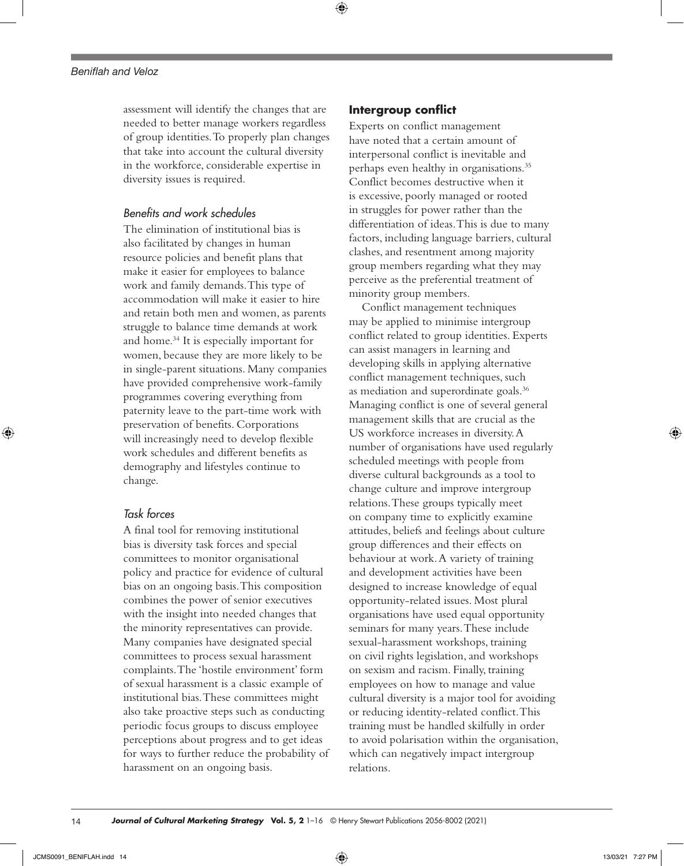### *Beniflah and Veloz*

assessment will identify the changes that are needed to better manage workers regardless of group identities. To properly plan changes that take into account the cultural diversity in the workforce, considerable expertise in diversity issues is required.

# *Benefits and work schedules*

The elimination of institutional bias is also facilitated by changes in human resource policies and benefit plans that make it easier for employees to balance work and family demands. This type of accommodation will make it easier to hire and retain both men and women, as parents struggle to balance time demands at work and home.<sup>34</sup> It is especially important for women, because they are more likely to be in single-parent situations. Many companies have provided comprehensive work-family programmes covering everything from paternity leave to the part-time work with preservation of benefits. Corporations will increasingly need to develop flexible work schedules and different benefits as demography and lifestyles continue to change.

# *Task forces*

A final tool for removing institutional bias is diversity task forces and special committees to monitor organisational policy and practice for evidence of cultural bias on an ongoing basis. This composition combines the power of senior executives with the insight into needed changes that the minority representatives can provide. Many companies have designated special committees to process sexual harassment complaints. The 'hostile environment' form of sexual harassment is a classic example of institutional bias. These committees might also take proactive steps such as conducting periodic focus groups to discuss employee perceptions about progress and to get ideas for ways to further reduce the probability of harassment on an ongoing basis.

### **Intergroup conflict**

Experts on conflict management have noted that a certain amount of interpersonal conflict is inevitable and perhaps even healthy in organisations.35 Conflict becomes destructive when it is excessive, poorly managed or rooted in struggles for power rather than the differentiation of ideas. This is due to many factors, including language barriers, cultural clashes, and resentment among majority group members regarding what they may perceive as the preferential treatment of minority group members.

Conflict management techniques may be applied to minimise intergroup conflict related to group identities. Experts can assist managers in learning and developing skills in applying alternative conflict management techniques, such as mediation and superordinate goals.36 Managing conflict is one of several general management skills that are crucial as the US workforce increases in diversity. A number of organisations have used regularly scheduled meetings with people from diverse cultural backgrounds as a tool to change culture and improve intergroup relations. These groups typically meet on company time to explicitly examine attitudes, beliefs and feelings about culture group differences and their effects on behaviour at work. A variety of training and development activities have been designed to increase knowledge of equal opportunity-related issues. Most plural organisations have used equal opportunity seminars for many years. These include sexual-harassment workshops, training on civil rights legislation,and workshops on sexism and racism. Finally, training employees on how to manage and value cultural diversity is a major tool for avoiding or reducing identity-related conflict. This training must be handled skilfully in order to avoid polarisation within the organisation, which can negatively impact intergroup relations.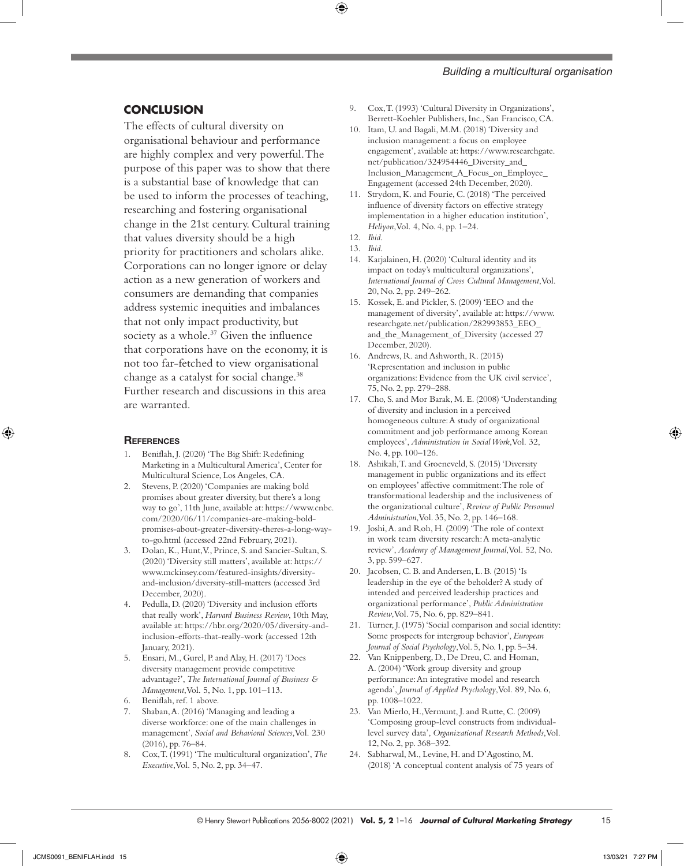#### *Building a multicultural organisation*

# **CONCLUSION**

The effects of cultural diversity on organisational behaviour and performance are highly complex and very powerful. The purpose of this paper was to show that there is a substantial base of knowledge that can be used to inform the processes of teaching, researching and fostering organisational change in the 21st century. Cultural training that values diversity should be a high priority for practitioners and scholars alike. Corporations can no longer ignore or delay action as a new generation of workers and consumers are demanding that companies address systemic inequities and imbalances that not only impact productivity, but society as a whole.<sup>37</sup> Given the influence that corporations have on the economy, it is not too far-fetched to view organisational change as a catalyst for social change.<sup>38</sup> Further research and discussions in this area are warranted.

#### **REFERENCES**

- 1. Beniflah, J. (2020) 'The Big Shift: Redefining Marketing in a Multicultural America', Center for Multicultural Science, Los Angeles, CA.
- 2. Stevens, P. (2020) 'Companies are making bold promises about greater diversity, but there's a long way to go', 11th June, available at: [https://www.cnbc.](https://www.cnbc.com/2020/06/11/companies-are-making-bold-promises-about-greater-diversity-theres-a-long-way-to-go.html) [com/2020/06/11/companies-are-making-bold](https://www.cnbc.com/2020/06/11/companies-are-making-bold-promises-about-greater-diversity-theres-a-long-way-to-go.html)[promises-about-greater-diversity-theres-a-long-way](https://www.cnbc.com/2020/06/11/companies-are-making-bold-promises-about-greater-diversity-theres-a-long-way-to-go.html)[to-go.html](https://www.cnbc.com/2020/06/11/companies-are-making-bold-promises-about-greater-diversity-theres-a-long-way-to-go.html) (accessed 22nd February, 2021).
- Dolan, K., Hunt, V., Prince, S. and Sancier-Sultan, S. (2020) 'Diversity still matters', available at: [https://](https://www.mckinsey.com/featured-insights/diversity-and-inclusion/diversity-still-matters) [www.mckinsey.com/featured-insights/diversity](https://www.mckinsey.com/featured-insights/diversity-and-inclusion/diversity-still-matters)[and-inclusion/diversity-still-matters](https://www.mckinsey.com/featured-insights/diversity-and-inclusion/diversity-still-matters) (accessed 3rd December, 2020).
- 4. Pedulla, D. (2020) 'Diversity and inclusion efforts that really work', *Harvard Business Review*, 10th May, available at: [https://hbr.org/2020/05/diversity-and](https://hbr.org/2020/05/diversity-and-inclusion-efforts-that-really-work)[inclusion-efforts-that-really-work](https://hbr.org/2020/05/diversity-and-inclusion-efforts-that-really-work) (accessed 12th January, 2021).
- 5. Ensari, M., Gurel, P. and Alay, H. (2017) 'Does diversity management provide competitive advantage?', *The International Journal of Business & Management*, Vol. 5, No. 1, pp. 101–113.
- 6. Beniflah, ref. 1 above.
- 7. Shaban, A. (2016) 'Managing and leading a diverse workforce: one of the main challenges in management', *Social and Behavioral Sciences*, Vol. 230 (2016), pp. 76–84.
- 8. Cox, T. (1991) 'The multicultural organization', *The Executive*, Vol. 5, No. 2, pp. 34–47.
- 9. Cox, T. (1993) 'Cultural Diversity in Organizations', Berrett-Koehler Publishers, Inc., San Francisco, CA.
- 10. Itam, U. and Bagali, M.M. (2018) 'Diversity and inclusion management: a focus on employee engagement', available at: [https://www.researchgate.](https://www.researchgate.net/publication/324954446_Diversity_and_Inclusion_Management_A_Focus_on_Employee_Engagement) [net/publication/324954446\\_Diversity\\_and\\_](https://www.researchgate.net/publication/324954446_Diversity_and_Inclusion_Management_A_Focus_on_Employee_Engagement) [Inclusion\\_Management\\_A\\_Focus\\_on\\_Employee\\_](https://www.researchgate.net/publication/324954446_Diversity_and_Inclusion_Management_A_Focus_on_Employee_Engagement) [Engagement](https://www.researchgate.net/publication/324954446_Diversity_and_Inclusion_Management_A_Focus_on_Employee_Engagement) (accessed 24th December, 2020).
- 11. Strydom, K. and Fourie, C. (2018) 'The perceived influence of diversity factors on effective strategy implementation in a higher education institution', *Heliyon*, Vol. 4, No. 4, pp. 1–24.
- 12. *Ibid*.
- 13. *Ibid*.
- 14. Karjalainen, H. (2020) 'Cultural identity and its impact on today's multicultural organizations', *International Journal of Cross Cultural Management*, Vol. 20, No. 2, pp. 249–262.
- 15. Kossek, E. and Pickler, S. (2009) 'EEO and the management of diversity', available at: [https://www.](https://www.researchgate.net/publication/282993853_EEO_and_the_Management_of_Diversity) [researchgate.net/publication/282993853\\_EEO\\_](https://www.researchgate.net/publication/282993853_EEO_and_the_Management_of_Diversity) [and\\_the\\_Management\\_of\\_Diversity](https://www.researchgate.net/publication/282993853_EEO_and_the_Management_of_Diversity) (accessed 27 December, 2020).
- 16. Andrews, R. and Ashworth, R. (2015) 'Representation and inclusion in public organizations: Evidence from the UK civil service', 75, No. 2, pp. 279–288.
- 17. Cho, S. and Mor Barak, M. E. (2008) 'Understanding of diversity and inclusion in a perceived homogeneous culture: A study of organizational commitment and job performance among Korean employees', *Administration in Social Work*, Vol. 32, No. 4, pp. 100–126.
- 18. Ashikali, T. and Groeneveld, S. (2015) 'Diversity management in public organizations and its effect on employees' affective commitment: The role of transformational leadership and the inclusiveness of the organizational culture', *Review of Public Personnel Administration*, Vol. 35, No. 2, pp. 146–168.
- 19. Joshi, A. and Roh, H. (2009) 'The role of context in work team diversity research: A meta-analytic review', *Academy of Management Journal*, Vol. 52, No. 3, pp. 599–627.
- 20. Jacobsen, C. B. and Andersen, L. B. (2015) 'Is leadership in the eye of the beholder? A study of intended and perceived leadership practices and organizational performance', *Public Administration Review*, Vol. 75, No. 6, pp. 829–841.
- 21. Turner, J. (1975) 'Social comparison and social identity: Some prospects for intergroup behavior', *European Journal of Social Psychology*, Vol. 5, No. 1, pp. 5–34.
- 22. Van Knippenberg, D., De Dreu, C. and Homan, A. (2004) 'Work group diversity and group performance: An integrative model and research agenda', *Journal of Applied Psychology*, Vol. 89, No. 6, pp. 1008–1022.
- 23. Van Mierlo, H., Vermunt, J. and Rutte, C. (2009) 'Composing group-level constructs from individuallevel survey data', *Organizational Research Methods*, Vol. 12, No. 2, pp. 368–392.
- 24. Sabharwal, M., Levine, H. and D'Agostino, M. (2018) 'A conceptual content analysis of 75 years of